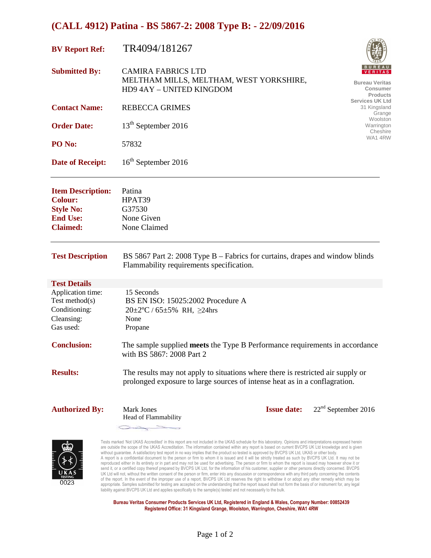| <b>BV Report Ref:</b>                                                                                | TR4094/181267                                                                                                                                                 |                    |                                                      |
|------------------------------------------------------------------------------------------------------|---------------------------------------------------------------------------------------------------------------------------------------------------------------|--------------------|------------------------------------------------------|
| <b>Submitted By:</b>                                                                                 | <b>CAMIRA FABRICS LTD</b><br>MELTHAM MILLS, MELTHAM, WEST YORKSHIRE,<br>HD9 4AY - UNITED KINGDOM                                                              |                    | <b>Bureau Veritas</b><br>Consumer<br><b>Products</b> |
| <b>Contact Name:</b>                                                                                 | <b>REBECCA GRIMES</b>                                                                                                                                         |                    | <b>Services UK Ltd</b><br>31 Kingsland<br>Grange     |
| <b>Order Date:</b>                                                                                   | 13 <sup>th</sup> September 2016                                                                                                                               |                    | Woolston<br>Warrington<br>Cheshire                   |
| PO No:                                                                                               | 57832                                                                                                                                                         |                    | WA14RW                                               |
| <b>Date of Receipt:</b>                                                                              | 16 <sup>th</sup> September 2016                                                                                                                               |                    |                                                      |
| <b>Item Description:</b><br><b>Colour:</b><br><b>Style No:</b><br><b>End Use:</b><br><b>Claimed:</b> | Patina<br>HPAT39<br>G37530<br>None Given<br>None Claimed                                                                                                      |                    |                                                      |
| <b>Test Description</b>                                                                              | BS 5867 Part 2: 2008 Type B – Fabrics for curtains, drapes and window blinds<br>Flammability requirements specification.                                      |                    |                                                      |
| <b>Test Details</b>                                                                                  |                                                                                                                                                               |                    |                                                      |
| Application time:<br>Test method $(s)$<br>Conditioning:<br>Cleansing:<br>Gas used:                   | 15 Seconds<br>BS EN ISO: 15025:2002 Procedure A<br>$20 \pm 2^{\circ}C / 65 \pm 5\%$ RH, $\geq 24$ hrs<br>None<br>Propane                                      |                    |                                                      |
| <b>Conclusion:</b>                                                                                   | The sample supplied meets the Type B Performance requirements in accordance<br>with BS 5867: 2008 Part 2                                                      |                    |                                                      |
| <b>Results:</b>                                                                                      | The results may not apply to situations where there is restricted air supply or<br>prolonged exposure to large sources of intense heat as in a conflagration. |                    |                                                      |
| <b>Authorized By:</b>                                                                                | <b>Mark Jones</b><br>Head of Flammability                                                                                                                     | <b>Issue date:</b> | $22nd$ September 2016                                |



Tests marked 'Not UKAS Accredited' in this report are not included in the UKAS schedule for this laboratory. Opinions and interpretations expressed herein are outside the scope of the UKAS Accreditation. The information contained within any report is based on current BVCPS UK Ltd knowledge and is given without guarantee. A satisfactory test report in no way implies that the product so tested is approved by BVCPS UK Ltd, UKAS or other body.<br>A report is a confidential document to the person or firm to whom it is issued and reproduced either in its entirety or in part and may not be used for advertising. The person or firm to whom the report is issued may however show it or<br>send it, or a certified copy thereof prepared by BVCPS UK Ltd, for th UK Ltd will not, without the written consent of the person or firm, enter into any discussion or correspondence with any third party concerning the contents of the report. In the event of the improper use of a report, BVCPS UK Ltd reserves the right to withdraw it or adopt any other remedy which may be appropriate. Samples submitted for testing are accepted on the understanding that the report issued shall not form the basis of or instrument for, any legal<br>liability against BVCPS UK Ltd and applies specifically to the sa

**Bureau Veritas Consumer Products Services UK Ltd, Registered in England & Wales, Company Number: 00852439 Registered Office: 31 Kingsland Grange, Woolston, Warrington, Cheshire, WA1 4RW**